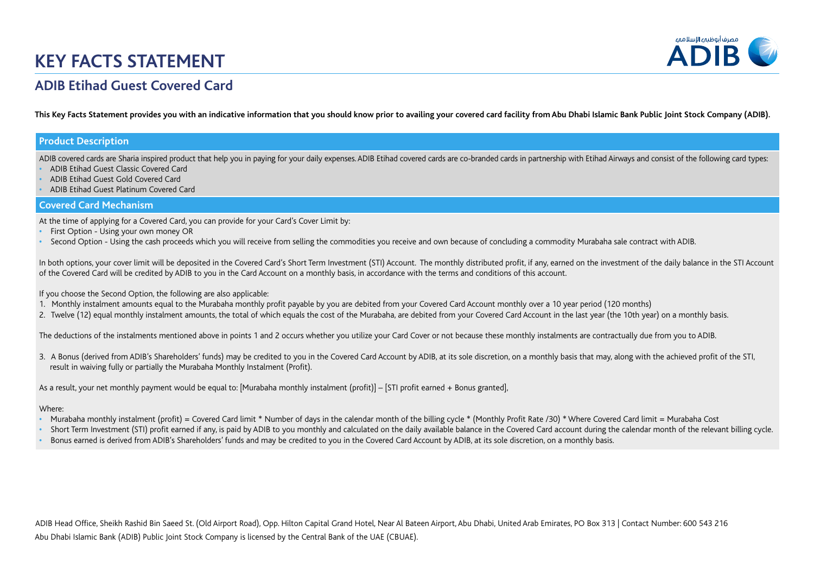# **KEY FACTS STATEMENT**



# **ADIB Etihad Guest Covered Card**

This Key Facts Statement provides you with an indicative information that you should know prior to availing your covered card facility from Abu Dhabi Islamic Bank Public Joint Stock Company (ADIB).

## **Product Description**

ADIB covered cards are Sharia inspired product that help you in paying for your daily expenses. ADIB Etihad covered cards are co-branded cards in partnership with Etihad Airways and consist of the following card types:

- **•** ADIB Etihad Guest Classic Covered Card
- **•** ADIB Etihad Guest Gold Covered Card
- **•** ADIB Etihad Guest Platinum Covered Card

### **Covered Card Mechanism**

At the time of applying for a Covered Card, you can provide for your Card's Cover Limit by:

- **•** First Option Using your own money OR
- **•** Second Option Using the cash proceeds which you will receive from selling the commodities you receive and own because of concluding a commodity Murabaha sale contract with ADIB.

In both options, your cover limit will be deposited in the Covered Card's Short Term Investment (STI) Account. The monthly distributed profit, if any, earned on the investment of the daily balance in the STI Account of the Covered Card will be credited by ADIB to you in the Card Account on a monthly basis, in accordance with the terms and conditions of this account.

If you choose the Second Option, the following are also applicable:

- 1. Monthly instalment amounts equal to the Murabaha monthly profit payable by you are debited from your Covered Card Account monthly over a 10 year period (120 months)
- 2. Twelve (12) equal monthly instalment amounts, the total of which equals the cost of the Murabaha, are debited from your Covered Card Account in the last year (the 10th year) on a monthly basis.

The deductions of the instalments mentioned above in points 1 and 2 occurs whether you utilize your Card Cover or not because these monthly instalments are contractually due from you to ADIB.

3. A Bonus (derived from ADIB's Shareholders' funds) may be credited to you in the Covered Card Account by ADIB, at its sole discretion, on a monthly basis that may, along with the achieved profit of the STI, result in waiving fully or partially the Murabaha Monthly Instalment (Profit).

As a result, your net monthly payment would be equal to: [Murabaha monthly instalment (profit)] – [STI profit earned + Bonus granted],

#### Where:

- Murabaha monthly instalment (profit) = Covered Card limit \* Number of days in the calendar month of the billing cycle \* (Monthly Profit Rate /30) \* Where Covered Card limit = Murabaha Cost
- Short Term Investment (STI) profit earned if any, is paid by ADIB to you monthly and calculated on the daily available balance in the Covered Card account during the calendar month of the relevant billing cycle.
- **•** Bonus earned is derived from ADIB's Shareholders' funds and may be credited to you in the Covered Card Account by ADIB, at its sole discretion, on a monthly basis.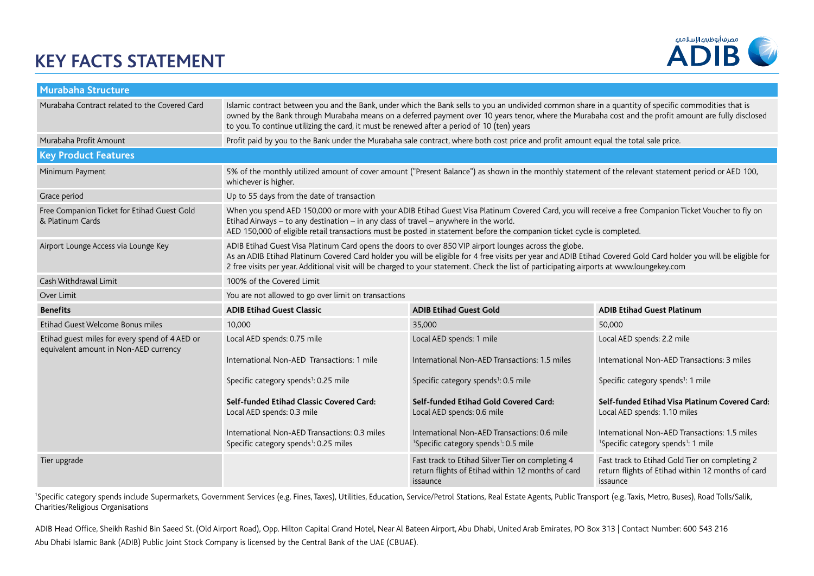# **KEY FACTS STATEMENT**



| <b>Murabaha Structure</b>                                                               |                                                                                                                                                                                                                                                                                                                                                                                                                         |                                                                                                                   |                                                                                                                 |  |  |
|-----------------------------------------------------------------------------------------|-------------------------------------------------------------------------------------------------------------------------------------------------------------------------------------------------------------------------------------------------------------------------------------------------------------------------------------------------------------------------------------------------------------------------|-------------------------------------------------------------------------------------------------------------------|-----------------------------------------------------------------------------------------------------------------|--|--|
| Murabaha Contract related to the Covered Card                                           | Islamic contract between you and the Bank, under which the Bank sells to you an undivided common share in a quantity of specific commodities that is<br>owned by the Bank through Murabaha means on a deferred payment over 10 years tenor, where the Murabaha cost and the profit amount are fully disclosed<br>to you. To continue utilizing the card, it must be renewed after a period of 10 (ten) years            |                                                                                                                   |                                                                                                                 |  |  |
| Murabaha Profit Amount                                                                  | Profit paid by you to the Bank under the Murabaha sale contract, where both cost price and profit amount equal the total sale price.                                                                                                                                                                                                                                                                                    |                                                                                                                   |                                                                                                                 |  |  |
| <b>Key Product Features</b>                                                             |                                                                                                                                                                                                                                                                                                                                                                                                                         |                                                                                                                   |                                                                                                                 |  |  |
| Minimum Payment                                                                         | 5% of the monthly utilized amount of cover amount ("Present Balance") as shown in the monthly statement of the relevant statement period or AED 100,<br>whichever is higher.                                                                                                                                                                                                                                            |                                                                                                                   |                                                                                                                 |  |  |
| Grace period                                                                            | Up to 55 days from the date of transaction                                                                                                                                                                                                                                                                                                                                                                              |                                                                                                                   |                                                                                                                 |  |  |
| Free Companion Ticket for Etihad Guest Gold<br>& Platinum Cards                         | When you spend AED 150,000 or more with your ADIB Etihad Guest Visa Platinum Covered Card, you will receive a free Companion Ticket Voucher to fly on<br>Etihad Airways $-$ to any destination $-$ in any class of travel $-$ anywhere in the world.<br>AED 150,000 of eligible retail transactions must be posted in statement before the companion ticket cycle is completed.                                         |                                                                                                                   |                                                                                                                 |  |  |
| Airport Lounge Access via Lounge Key                                                    | ADIB Etihad Guest Visa Platinum Card opens the doors to over 850 VIP airport lounges across the globe.<br>As an ADIB Etihad Platinum Covered Card holder you will be eligible for 4 free visits per year and ADIB Etihad Covered Gold Card holder you will be eligible for<br>2 free visits per year. Additional visit will be charged to your statement. Check the list of participating airports at www.loungekey.com |                                                                                                                   |                                                                                                                 |  |  |
| Cash Withdrawal Limit                                                                   | 100% of the Covered Limit                                                                                                                                                                                                                                                                                                                                                                                               |                                                                                                                   |                                                                                                                 |  |  |
| Over Limit                                                                              | You are not allowed to go over limit on transactions                                                                                                                                                                                                                                                                                                                                                                    |                                                                                                                   |                                                                                                                 |  |  |
| <b>Benefits</b>                                                                         | <b>ADIB Etihad Guest Classic</b>                                                                                                                                                                                                                                                                                                                                                                                        | <b>ADIB Etihad Guest Gold</b>                                                                                     | <b>ADIB Etihad Guest Platinum</b>                                                                               |  |  |
| Etihad Guest Welcome Bonus miles                                                        | 10.000                                                                                                                                                                                                                                                                                                                                                                                                                  | 35,000                                                                                                            | 50,000                                                                                                          |  |  |
| Etihad guest miles for every spend of 4 AED or<br>equivalent amount in Non-AED currency | Local AED spends: 0.75 mile                                                                                                                                                                                                                                                                                                                                                                                             | Local AED spends: 1 mile                                                                                          | Local AED spends: 2.2 mile                                                                                      |  |  |
|                                                                                         | International Non-AED Transactions: 1 mile                                                                                                                                                                                                                                                                                                                                                                              | International Non-AED Transactions: 1.5 miles                                                                     | International Non-AED Transactions: 3 miles                                                                     |  |  |
|                                                                                         | Specific category spends <sup>1</sup> : 0.25 mile                                                                                                                                                                                                                                                                                                                                                                       | Specific category spends <sup>1</sup> : 0.5 mile                                                                  | Specific category spends <sup>1</sup> : 1 mile                                                                  |  |  |
|                                                                                         | Self-funded Etihad Classic Covered Card:<br>Local AED spends: 0.3 mile                                                                                                                                                                                                                                                                                                                                                  | Self-funded Etihad Gold Covered Card:<br>Local AED spends: 0.6 mile                                               | Self-funded Etihad Visa Platinum Covered Card:<br>Local AED spends: 1.10 miles                                  |  |  |
|                                                                                         | International Non-AED Transactions: 0.3 miles<br>Specific category spends <sup>1</sup> : 0.25 miles                                                                                                                                                                                                                                                                                                                     | International Non-AED Transactions: 0.6 mile<br><sup>1</sup> Specific category spends <sup>1</sup> : 0.5 mile     | International Non-AED Transactions: 1.5 miles<br><sup>1</sup> Specific category spends <sup>1</sup> : 1 mile    |  |  |
| Tier upgrade                                                                            |                                                                                                                                                                                                                                                                                                                                                                                                                         | Fast track to Etihad Silver Tier on completing 4<br>return flights of Etihad within 12 months of card<br>issaunce | Fast track to Etihad Gold Tier on completing 2<br>return flights of Etihad within 12 months of card<br>issaunce |  |  |

<sup>1</sup>Specific category spends include Supermarkets, Government Services (e.g. Fines, Taxes), Utilities, Education, Service/Petrol Stations, Real Estate Agents, Public Transport (e.g. Taxis, Metro, Buses), Road Tolls/Salik, Charities/Religious Organisations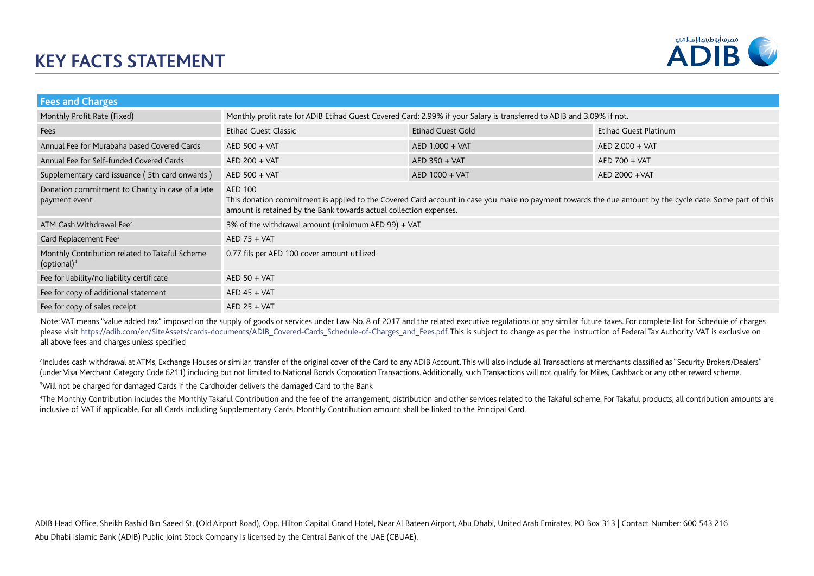

| <b>Fees and Charges</b>                                              |                                                                                                                                                                                                                                          |                          |                       |  |
|----------------------------------------------------------------------|------------------------------------------------------------------------------------------------------------------------------------------------------------------------------------------------------------------------------------------|--------------------------|-----------------------|--|
| Monthly Profit Rate (Fixed)                                          | Monthly profit rate for ADIB Etihad Guest Covered Card: 2.99% if your Salary is transferred to ADIB and 3.09% if not.                                                                                                                    |                          |                       |  |
| Fees                                                                 | <b>Etihad Guest Classic</b>                                                                                                                                                                                                              | <b>Etihad Guest Gold</b> | Etihad Guest Platinum |  |
| Annual Fee for Murabaha based Covered Cards                          | AED 500 + VAT                                                                                                                                                                                                                            | AED 1,000 + VAT          | AED 2,000 + VAT       |  |
| Annual Fee for Self-funded Covered Cards                             | AED 200 + VAT                                                                                                                                                                                                                            | $AED 350 + VAT$          | AED 700 + VAT         |  |
| Supplementary card issuance (5th card onwards)                       | AED 500 + VAT                                                                                                                                                                                                                            | AED 1000 + VAT           | AED 2000 + VAT        |  |
| Donation commitment to Charity in case of a late<br>payment event    | AED 100<br>This donation commitment is applied to the Covered Card account in case you make no payment towards the due amount by the cycle date. Some part of this<br>amount is retained by the Bank towards actual collection expenses. |                          |                       |  |
| ATM Cash Withdrawal Fee <sup>2</sup>                                 | 3% of the withdrawal amount (minimum AED 99) + VAT                                                                                                                                                                                       |                          |                       |  |
| Card Replacement Fee <sup>3</sup>                                    | $AED$ 75 + VAT                                                                                                                                                                                                                           |                          |                       |  |
| Monthly Contribution related to Takaful Scheme<br>$($ optional $)^4$ | 0.77 fils per AED 100 cover amount utilized                                                                                                                                                                                              |                          |                       |  |
| Fee for liability/no liability certificate                           | $AED 50 + VAT$                                                                                                                                                                                                                           |                          |                       |  |
| Fee for copy of additional statement                                 | $AED 45 + VAT$                                                                                                                                                                                                                           |                          |                       |  |
| Fee for copy of sales receipt                                        | $AED$ 25 + VAT                                                                                                                                                                                                                           |                          |                       |  |

Note: VAT means "value added tax" imposed on the supply of goods or services under Law No. 8 of 2017 and the related executive regulations or any similar future taxes. For complete list for Schedule of charges please visit https://adib.com/en/SiteAssets/cards-documents/ADIB\_Covered-Cards\_Schedule-of-Charges\_and\_Fees.pdf. This is subject to change as per the instruction of Federal Tax Authority. VAT is exclusive on all above fees and charges unless specified

<sup>2</sup>Includes cash withdrawal at ATMs, Exchange Houses or similar, transfer of the original cover of the Card to any ADIB Account. This will also include all Transactions at merchants classified as "Security Brokers/Dealers" (under Visa Merchant Category Code 6211) including but not limited to National Bonds Corporation Transactions. Additionally, such Transactions will not qualify for Miles, Cashback or any other reward scheme.

 $^{\text{3}}$ Will not be charged for damaged Cards if the Cardholder delivers the damaged Card to the Bank

4 The Monthly Contribution includes the Monthly Takaful Contribution and the fee of the arrangement, distribution and other services related to the Takaful scheme. For Takaful products, all contribution amounts are inclusive of VAT if applicable. For all Cards including Supplementary Cards, Monthly Contribution amount shall be linked to the Principal Card.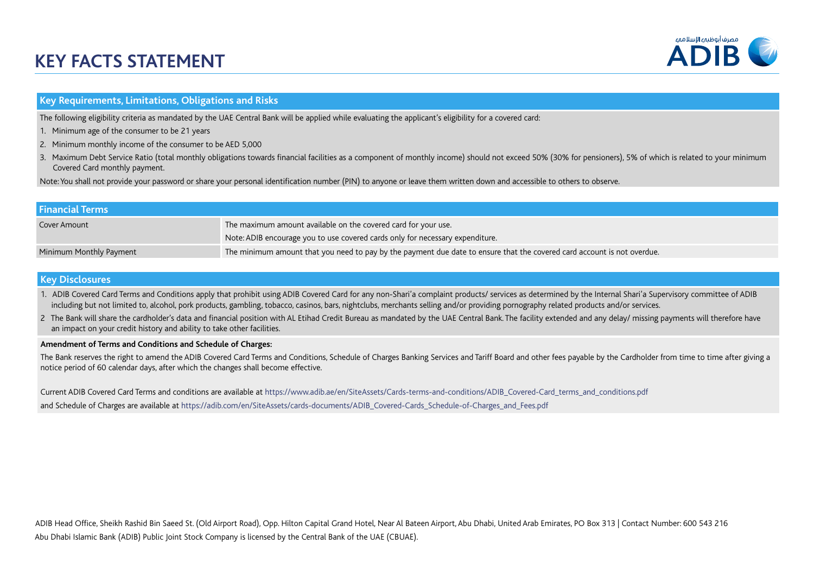# **KEY FACTS STATEMENT**



## **Key Requirements, Limitations, Obligations and Risks**

The following eligibility criteria as mandated by the UAE Central Bank will be applied while evaluating the applicant's eligibility for a covered card:

- 1. Minimum age of the consumer to be 21 years
- 2. Minimum monthly income of the consumer to be AED 5,000
- 3. Maximum Debt Service Ratio (total monthly obligations towards financial facilities as a component of monthly income) should not exceed 50% (30% for pensioners), 5% of which is related to your minimum Covered Card monthly payment.

Note: You shall not provide your password or share your personal identification number (PIN) to anyone or leave them written down and accessible to others to observe.

| <b>Financial Terms</b>  |                                                                                                                         |
|-------------------------|-------------------------------------------------------------------------------------------------------------------------|
| Cover Amount            | The maximum amount available on the covered card for your use.                                                          |
|                         | Note: ADIB encourage you to use covered cards only for necessary expenditure.                                           |
| Minimum Monthly Payment | The minimum amount that you need to pay by the payment due date to ensure that the covered card account is not overdue. |

### **Key Disclosures**

- 1. ADIB Covered Card Terms and Conditions apply that prohibit using ADIB Covered Card for any non-Shari'a complaint products/ services as determined by the Internal Shari'a Supervisory committee of ADIB including but not limited to, alcohol, pork products, gambling, tobacco, casinos, bars, nightclubs, merchants selling and/or providing pornography related products and/or services.
- 2 The Bank will share the cardholder's data and financial position with AL Etihad Credit Bureau as mandated by the UAE Central Bank. The facility extended and any delay/ missing payments will therefore have an impact on your credit history and ability to take other facilities.

#### **Amendment of Terms and Conditions and Schedule of Charges:**

The Bank reserves the right to amend the ADIB Covered Card Terms and Conditions, Schedule of Charges Banking Services and Tariff Board and other fees payable by the Cardholder from time to time after giving a notice period of 60 calendar days, after which the changes shall become effective.

Current ADIB Covered Card Terms and conditions are available at https://www.adib.ae/en/SiteAssets/Cards-terms-and-conditions/ADIB\_Covered-Card\_terms\_and\_conditions.pdf and Schedule of Charges are available at https://adib.com/en/SiteAssets/cards-documents/ADIB\_Covered-Cards\_Schedule-of-Charges\_and\_Fees.pdf